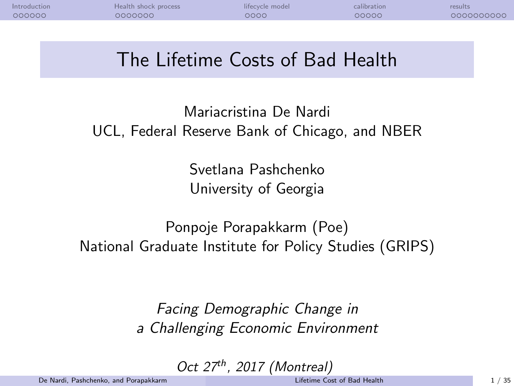<span id="page-0-1"></span><span id="page-0-0"></span>

| Introduction | Health shock process | lifecycle model | 'SUIT. |
|--------------|----------------------|-----------------|--------|
| nnnnn.       | maaan.               |                 | າດດາດ  |
|              |                      |                 |        |

## The Lifetime Costs of Bad Health

Mariacristina De Nardi UCL, Federal Reserve Bank of Chicago, and NBER

> Svetlana Pashchenko University of Georgia

Ponpoje Porapakkarm (Poe) National Graduate Institute for Policy Studies (GRIPS)

> Facing Demographic Change in a Challenging Economic Environment

> > Oct  $27<sup>th</sup>$ , 2017 (Montreal)

De Nardi, Pashchenko, and Porapakkarm [Lifetime Cost of Bad Health](#page-34-0) 1 / 35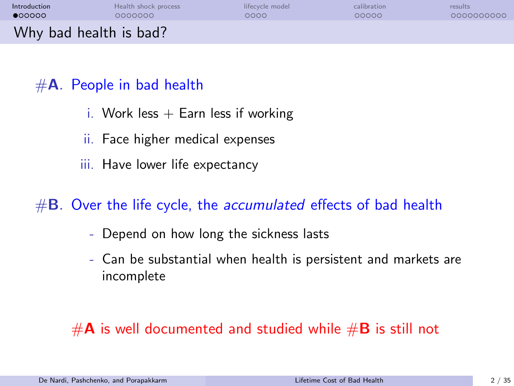<span id="page-1-0"></span>

| Introduction           | Health shock process | lifecycle model | calibration | results    |
|------------------------|----------------------|-----------------|-------------|------------|
| •00000                 | 0000000              | ೦೦೦೦            | 00000       | 0000000000 |
| Why bad health is bad? |                      |                 |             |            |

## $#A$ . People in bad health

- i. Work less  $+$  Earn less if working
- ii. Face higher medical expenses
- iii. Have lower life expectancy

## $#B.$  Over the life cycle, the *accumulated* effects of bad health

- Depend on how long the sickness lasts
- Can be substantial when health is persistent and markets are incomplete

## $#A$  is well documented and studied while  $#B$  is still not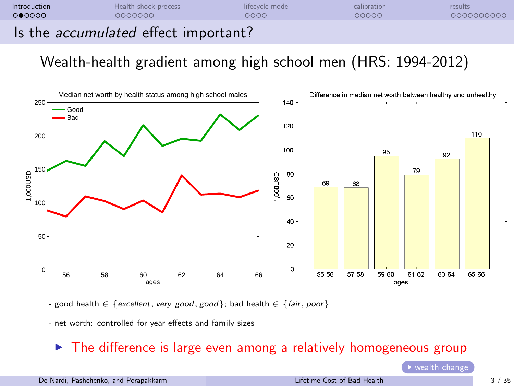**[Introduction](#page-1-0) [Health shock process](#page-7-0) and intervally intervalled** [calibration](#page-19-0) [results](#page-24-0) 00000 0000000000

Is the accumulated effect important?

Wealth-health gradient among high school men (HRS: 1994-2012)



- good health  $\in$  {excellent, very good, good}; bad health  $\in$  {fair, poor}

- net worth: controlled for year effects and family sizes

#### $\triangleright$  The difference is large even among a relatively homogeneous group

 $\rightarrow$  [wealth change](#page--1-0)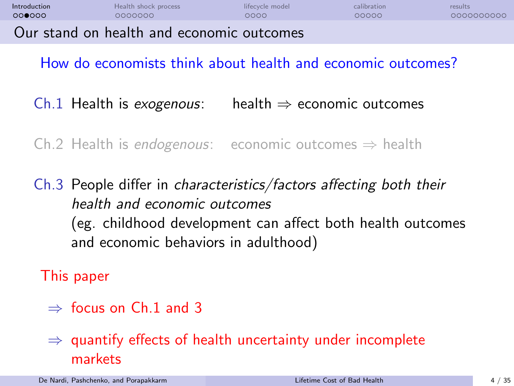| Introduction | Health shock process                      | lifecycle model | calibration | results    |
|--------------|-------------------------------------------|-----------------|-------------|------------|
| 000000       | 0000000                                   | 0000            | 00000       | 0000000000 |
|              | Our stand on health and economic outcomes |                 |             |            |

How do economists think about health and economic outcomes?

Ch.1 Health is exogenous: health  $\Rightarrow$  economic outcomes

Ch.2 Health is endogenous: economic outcomes  $\Rightarrow$  health

Ch.3 People differ in characteristics/factors affecting both their health and economic outcomes (eg. childhood development can affect both health outcomes and economic behaviors in adulthood)

This paper

 $\Rightarrow$  focus on Ch.1 and 3

 $\Rightarrow$  quantify effects of health uncertainty under incomplete markets

De Nardi, Pashchenko, and Porapakkarm [Lifetime Cost of Bad Health](#page-0-0) 4 / 35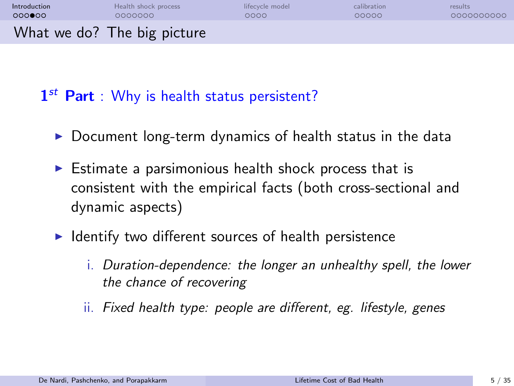| Introduction | Health shock process        | lifecycle model | calibration | results    |
|--------------|-----------------------------|-----------------|-------------|------------|
| 000000       | 0000000                     | ೦೦೦೦            | 00000       | 0000000000 |
|              | What we do? The big picture |                 |             |            |

1<sup>st</sup> Part : Why is health status persistent?

- $\triangleright$  Document long-term dynamics of health status in the data
- $\triangleright$  Estimate a parsimonious health shock process that is consistent with the empirical facts (both cross-sectional and dynamic aspects)
- $\blacktriangleright$  Identify two different sources of health persistence
	- i. Duration-dependence: the longer an unhealthy spell, the lower the chance of recovering
	- ii. Fixed health type: people are different, eg. lifestyle, genes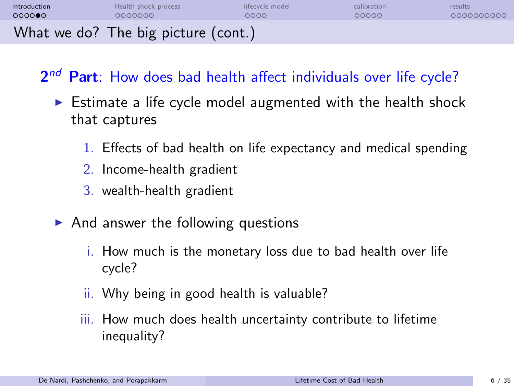| Introduction | Health shock process                | lifecycle model | calibration | results    |
|--------------|-------------------------------------|-----------------|-------------|------------|
| 000000       | 0000000                             | 0000            | 00000       | 0000000000 |
|              | What we do? The big picture (cont.) |                 |             |            |

2<sup>nd</sup> Part: How does bad health affect individuals over life cycle?

- $\triangleright$  Estimate a life cycle model augmented with the health shock that captures
	- 1. Effects of bad health on life expectancy and medical spending
	- 2. Income-health gradient
	- 3. wealth-health gradient
- $\triangleright$  And answer the following questions
	- i. How much is the monetary loss due to bad health over life cycle?
	- ii. Why being in good health is valuable?
	- iii. How much does health uncertainty contribute to lifetime inequality?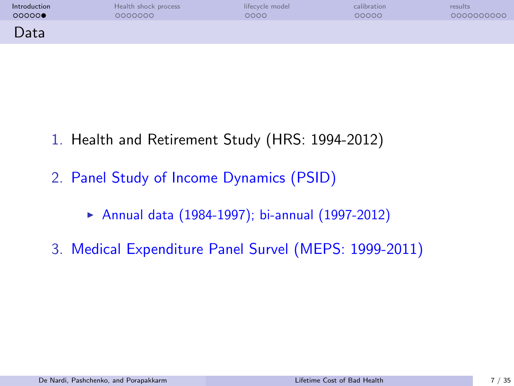| Introduction | Health shock process | lifecycle model | calibration | results    |
|--------------|----------------------|-----------------|-------------|------------|
| 00000        | 0000000              | ೦೦೦೦            | 00000       | 0000000000 |
| Data         |                      |                 |             |            |

- 1. Health and Retirement Study (HRS: 1994-2012)
- 2. Panel Study of Income Dynamics (PSID)
	- ▶ Annual data (1984-1997); bi-annual (1997-2012)
- 3. Medical Expenditure Panel Survel (MEPS: 1999-2011)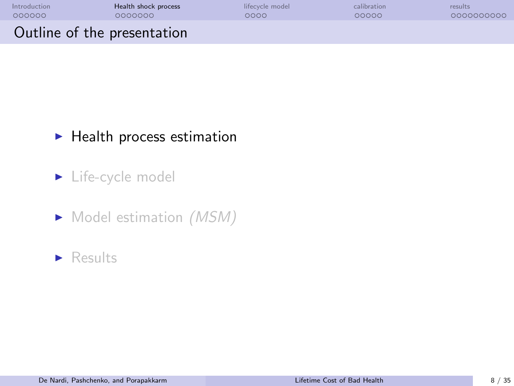<span id="page-7-0"></span>

| Introduction                | Health shock process | lifecycle model | calibration | results    |
|-----------------------------|----------------------|-----------------|-------------|------------|
| 000000                      | 0000000              | ೦೦೦೦            | 00000       | 0000000000 |
| Outline of the presentation |                      |                 |             |            |

## $\blacktriangleright$  Health process estimation

## $\blacktriangleright$  Life-cycle model

 $\blacktriangleright$  Model estimation (MSM)

#### $\blacktriangleright$  Results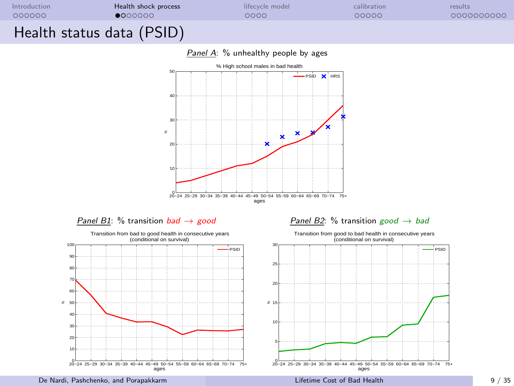

Panel A: % unhealthy people by ages





#### Panel B1: % transition bad  $\rightarrow$  good Panel B2: % transition good  $\rightarrow$  bad



De Nardi, Pashchenko, and Porapakkarm [Lifetime Cost of Bad Health](#page-0-0) 9 / 35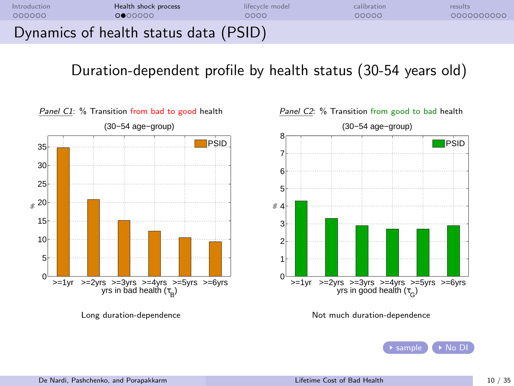

## Duration-dependent profile by health status (30-54 years old)







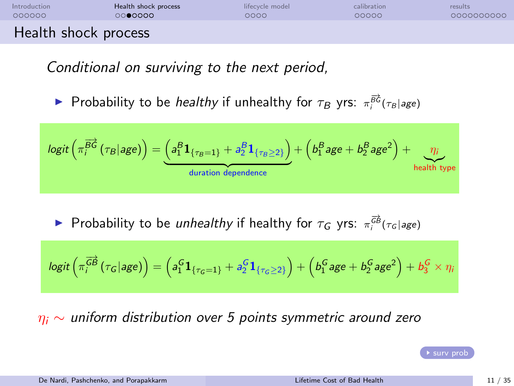| Introduction         | Health shock process | lifecycle model | calibration | results    |
|----------------------|----------------------|-----------------|-------------|------------|
| 000000               | 0000000              | 0000            | 00000       | 0000000000 |
| Health shock process |                      |                 |             |            |

Conditional on surviving to the next period,

► Probability to be *healthy* if unhealthy for  $\tau_B$  yrs:  $\pi_i^{\overrightarrow{BC}}(\tau_B | age)$ 

$$
logit\left(\pi_i^{\overrightarrow{B}\overrightarrow{G}}(\tau_B|age)\right) = \underbrace{\left(a_1^B\mathbf{1}_{\{\tau_B=1\}}+a_2^B\mathbf{1}_{\{\tau_B\geq 2\}}\right)}_{\text{duration dependence}} + \left(b_1^Bage + b_2^Bage^2\right) + \underbrace{\eta_i}_{\text{health type}}
$$

► Probability to be unhealthy if healthy for  $\tau_G$  yrs:  $\pi_i^{\overrightarrow{GB}}(\tau_G | age)$ 

$$
\text{logit}\left(\pi^{\overrightarrow{GB}}_{i} \left(\tau_{G} | \text{age}\right)\right) = \left(a_{1}^{G} \mathbf{1}_{\{\tau_{G} = 1\}} + a_{2}^{G} \mathbf{1}_{\{\tau_{G} \geq 2\}}\right) + \left(b_{1}^{G} \text{age} + b_{2}^{G} \text{age}^{2}\right) + b_{3}^{G} \times \eta_{i}
$$

 $\eta_i \sim$  uniform distribution over 5 points symmetric around zero

 $\triangleright$  [surv prob](#page--1-0)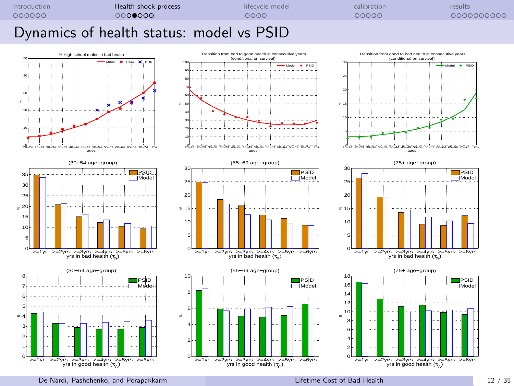

#### Dynamics of health status: model vs PSID

















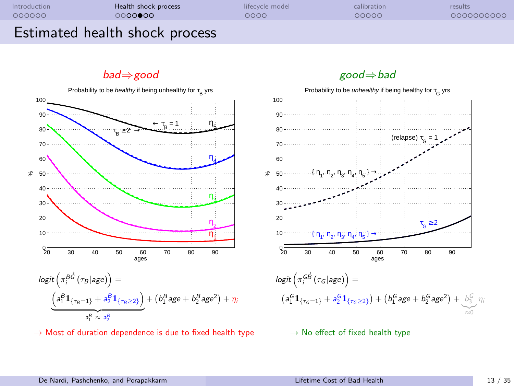| Introduction | Health shock process           | lifecycle model | calibration | results    |
|--------------|--------------------------------|-----------------|-------------|------------|
| 000000       | 0000000                        | 0000            | 00000       | 0000000000 |
|              | Estimated health shock process |                 |             |            |

bad⇒good good⇒bad



 $\rightarrow$  Most of duration dependence is due to fixed health type  $\rightarrow$  No effect of fixed health type

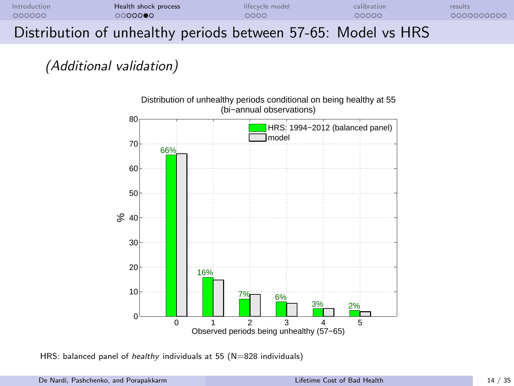| Introduction | Health shock process                                          | lifecycle model | calibration | results    |
|--------------|---------------------------------------------------------------|-----------------|-------------|------------|
| 000000       | 0000000                                                       | റററെ            | 00000       | 0000000000 |
|              | Distribution of unhealthy periods between 57-65: Model vs HRS |                 |             |            |

### (Additional validation)



HRS: balanced panel of *healthy* individuals at 55 (N=828 individuals)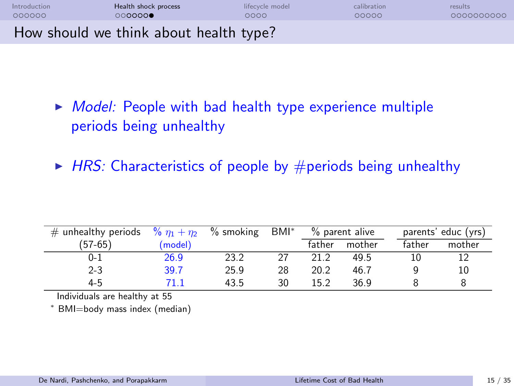| Introduction | Health shock process                   | lifecycle model | calibration | results    |
|--------------|----------------------------------------|-----------------|-------------|------------|
| 000000       | 000000                                 | ೦೦೦೦            | 00000       | 0000000000 |
|              | How should we think about health type? |                 |             |            |

- $\triangleright$  Model: People with bad health type experience multiple periods being unhealthy
- $\blacktriangleright$  HRS: Characteristics of people by #periods being unhealthy

| # unhealthy periods $\frac{96}{11} + \frac{\eta_2}{12}$ |         | $%$ smoking | BMI* |        | % parent alive |        | parents' educ (yrs) |
|---------------------------------------------------------|---------|-------------|------|--------|----------------|--------|---------------------|
| (57-65)                                                 | (model) |             |      | father | mother         | father | mother              |
| $0 - 1$                                                 | 26.9    | 23.2        | 27   | 21.2   | 49.5           |        |                     |
| $2 - 3$                                                 | 39.7    | 25.9        | 28   | 20.2   | 46.7           |        | 10                  |
| $4 - 5$                                                 | 71 1    | 43.5        | 30   | 15.2   | 36.9           |        |                     |

Individuals are healthy at 55

<sup>∗</sup> BMI=body mass index (median)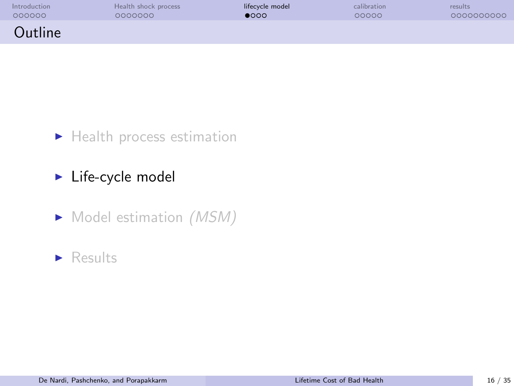<span id="page-15-0"></span>

| Introduction | Health shock process | lifecycle model | calibration | results    |
|--------------|----------------------|-----------------|-------------|------------|
| 000000       | 0000000              | $\bullet$ 000   | 00000       | 0000000000 |
| Outline      |                      |                 |             |            |

 $\blacktriangleright$  Health process estimation

 $\blacktriangleright$  Life-cycle model

 $\blacktriangleright$  Model estimation (MSM)

#### $\blacktriangleright$  Results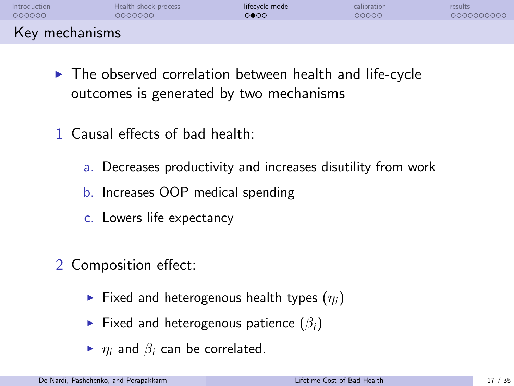| Introduction   | Health shock process | lifecycle model | calibration | results    |
|----------------|----------------------|-----------------|-------------|------------|
| 000000         | COOCOOO              | 0000            | 00000       | 0000000000 |
| Key mechanisms |                      |                 |             |            |

- $\blacktriangleright$  The observed correlation between health and life-cycle outcomes is generated by two mechanisms
- 1 Causal effects of bad health:
	- a. Decreases productivity and increases disutility from work
	- b. Increases OOP medical spending
	- c. Lowers life expectancy
- 2 Composition effect:
	- Fixed and heterogenous health types  $(\eta_i)$
	- Fixed and heterogenous patience  $(\beta_i)$
	- $\blacktriangleright$   $\eta_i$  and  $\beta_i$  can be correlated.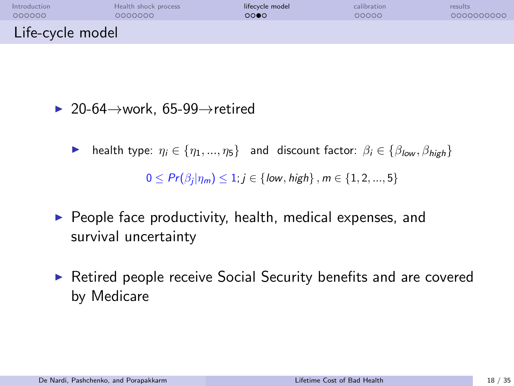| Introduction     | Health shock process | lifecycle model | calibration | results    |
|------------------|----------------------|-----------------|-------------|------------|
| 000000           | 0000000              | 0000            | 00000       | 0000000000 |
| Life-cycle model |                      |                 |             |            |

 $\triangleright$  20-64 $\rightarrow$ work, 65-99 $\rightarrow$ retired

**IF** health type:  $\eta_i \in \{\eta_1, ..., \eta_5\}$  and discount factor:  $\beta_i \in \{\beta_{low}, \beta_{high}\}$ 

 $0 \leq Pr(\beta_i | \eta_m) \leq 1; j \in \{low, high\}, m \in \{1, 2, ..., 5\}$ 

- $\triangleright$  People face productivity, health, medical expenses, and survival uncertainty
- $\triangleright$  Retired people receive Social Security benefits and are covered by Medicare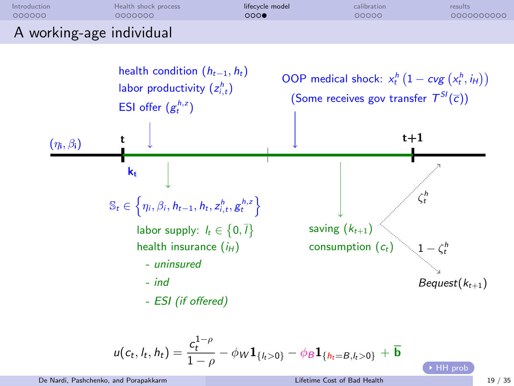



$$
u(c_t, l_t, h_t) = \frac{c_t^{1-\rho}}{1-\rho} - \phi_W \mathbf{1}_{\{l_t > 0\}} - \phi_B \mathbf{1}_{\{h_t = B, l_t > 0\}} + \overline{\mathbf{b}}
$$

De Nardi, Pashchenko, and Porapakkarm [Lifetime Cost of Bad Health](#page-0-0) 19 / 35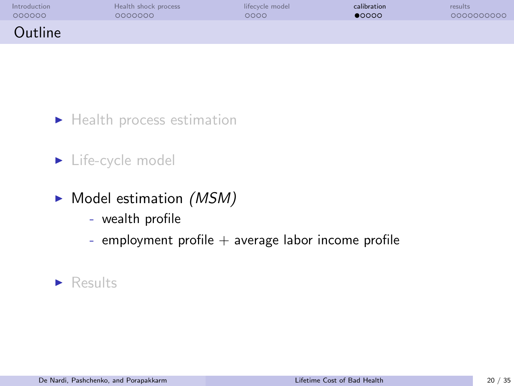<span id="page-19-0"></span>

| Introduction | Health shock process | lifecycle model | calibration    | results    |
|--------------|----------------------|-----------------|----------------|------------|
| 000000       | 0000000              | ೦೦೦೦            | $\bullet$ 0000 | 0000000000 |
| Outline      |                      |                 |                |            |

 $\blacktriangleright$  Health process estimation

## $\blacktriangleright$  Life-cycle model

- $\blacktriangleright$  Model estimation (MSM)
	- wealth profile
	- employment profile  $+$  average labor income profile

### $\blacktriangleright$  Results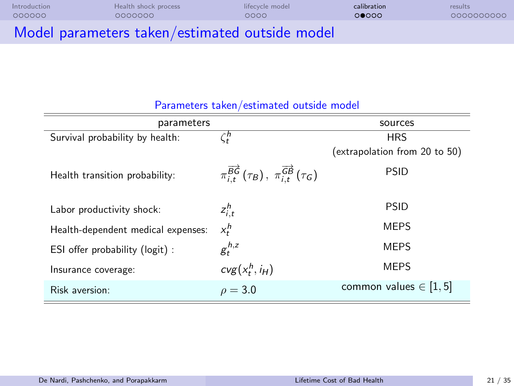| Introduction | Health shock process                           | lifecycle model | calibration | results    |
|--------------|------------------------------------------------|-----------------|-------------|------------|
| 000000       | 0000000                                        | റററെ            | 00000       | 0000000000 |
|              | Model parameters taken/estimated outside model |                 |             |            |

| parameters                         |                                                                                    |                               |  |
|------------------------------------|------------------------------------------------------------------------------------|-------------------------------|--|
| Survival probability by health:    | $\zeta^\textit{h}_t$                                                               | <b>HRS</b>                    |  |
|                                    |                                                                                    | (extrapolation from 20 to 50) |  |
| Health transition probability:     | $\pi_{i,t}^{\overrightarrow{BG}}(\tau_B), \pi_{i,t}^{\overrightarrow{GB}}(\tau_G)$ | <b>PSID</b>                   |  |
| Labor productivity shock:          | $z_{i,t}^h$                                                                        | <b>PSID</b>                   |  |
| Health-dependent medical expenses: | $x_t^h$                                                                            | <b>MEPS</b>                   |  |
| ESI offer probability (logit) :    | $g_t^{h,z}$                                                                        | <b>MEPS</b>                   |  |
| Insurance coverage:                | $cvg(x_t^h, i_H)$                                                                  | <b>MEPS</b>                   |  |
| Risk aversion:                     | $\rho = 3.0$                                                                       | common values $\in$ [1, 5]    |  |

#### Parameters taken/estimated outside model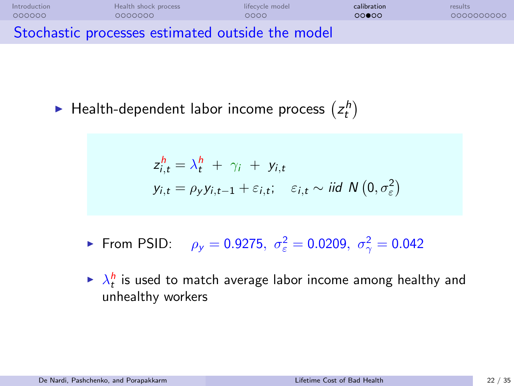| Introduction | Health shock process                             | lifecycle model | calibration | results    |
|--------------|--------------------------------------------------|-----------------|-------------|------------|
| 000000       | 0000000                                          | റററെ            | റററേറ       | 0000000000 |
|              | Stochastic processes estimated outside the model |                 |             |            |

 $\blacktriangleright$  Health-dependent labor income process  $\left(z_{t}^{h}\right)$ 

$$
z_{i,t}^h = \lambda_t^h + \gamma_i + y_{i,t}
$$
  
\n
$$
y_{i,t} = \rho_y y_{i,t-1} + \varepsilon_{i,t}; \quad \varepsilon_{i,t} \sim \text{iid } N(0, \sigma_{\varepsilon}^2)
$$

- ► From PSID:  $\rho_y = 0.9275$ ,  $\sigma_{\varepsilon}^2 = 0.0209$ ,  $\sigma_{\gamma}^2 = 0.042$
- $\blacktriangleright$   $\lambda_t^h$  is used to match average labor income among healthy and unhealthy workers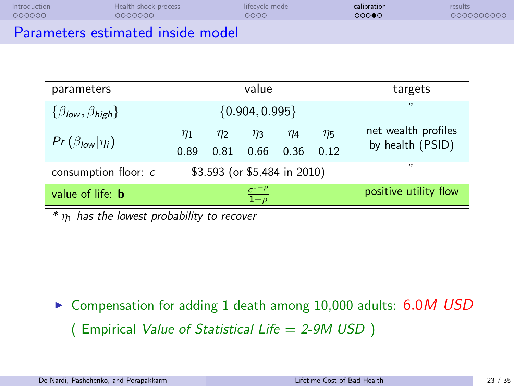| Introduction | Health shock process              | lifecycle model | calibration | results    |
|--------------|-----------------------------------|-----------------|-------------|------------|
| 000000       | 0000000                           | 0000            | 00000       | 0000000000 |
|              | Parameters estimated inside model |                 |             |            |

| parameters                                    | value                                  |          |          |                       | targets     |                     |
|-----------------------------------------------|----------------------------------------|----------|----------|-----------------------|-------------|---------------------|
| $\{\beta_{\text{low}}, \beta_{\text{high}}\}$ | ${0.904, 0.995}$                       |          |          |                       | $^{\prime}$ |                     |
| $Pr(\beta_{low} \eta_i)$                      | $\eta_1$                               | $\eta_2$ | $\eta_3$ | $\eta_4$              | $\eta_5$    | net wealth profiles |
|                                               | 0.89                                   | 0.81     | 0.66     | 0.36                  | 012         | by health (PSID)    |
| consumption floor: $\overline{c}$             | \$3,593 (or \$5,484 in 2010)           |          |          | , , ,                 |             |                     |
| value of life: $\overline{\mathbf{b}}$        | $\frac{\overline{c}^{1-\rho}}{1-\rho}$ |          |          | positive utility flow |             |                     |

 $*$   $\eta_1$  has the lowest probability to recover

▶ Compensation for adding 1 death among 10,000 adults: 6.0M USD ( Empirical Value of Statistical Life  $= 2-9M$  USD )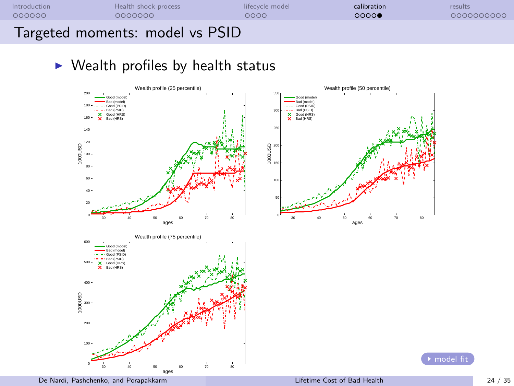

# $\triangleright$  Wealth profiles by health status

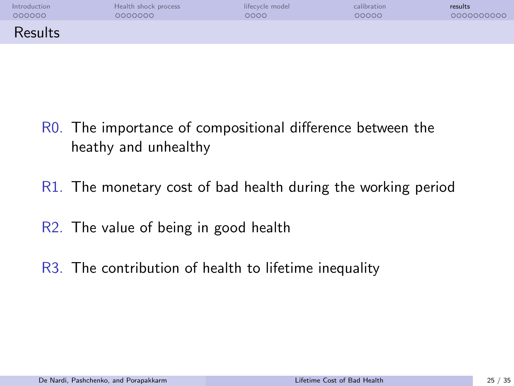<span id="page-24-0"></span>

| Introduction | Health shock process | lifecycle model | calibration | results    |
|--------------|----------------------|-----------------|-------------|------------|
| 000000       | 0000000              | ೦೦೦೦            | 00000       | 0000000000 |
| Results      |                      |                 |             |            |

- R0. The importance of compositional difference between the heathy and unhealthy
- R1. The monetary cost of bad health during the working period
- R2. The value of being in good health
- R3. The contribution of health to lifetime inequality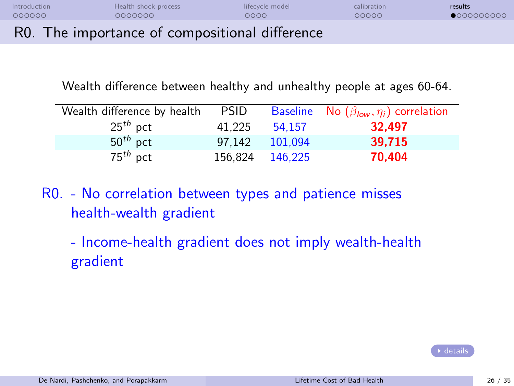| Introduction | Health shock process                           | lifecycle model | calibration | results             |
|--------------|------------------------------------------------|-----------------|-------------|---------------------|
| - QQQQQQ     | ററററററ                                         | 0000            | 00000       | $\bullet$ 000000000 |
|              | R0. The importance of compositional difference |                 |             |                     |

Wealth difference between healthy and unhealthy people at ages 60-64.

| Wealth difference by health | <b>PSID</b> |         | Baseline No $(\beta_{low}, \eta_i)$ correlation |
|-----------------------------|-------------|---------|-------------------------------------------------|
| $25^{th}$ pct               | 41.225      | 54.157  | 32.497                                          |
| $50th$ pct                  | 97.142      | 101.094 | 39.715                                          |
| $75th$ pct                  | 156.824     | 146.225 | 70.404                                          |

R0. - No correlation between types and patience misses health-wealth gradient

- Income-health gradient does not imply wealth-health gradient

[details](#page--1-1)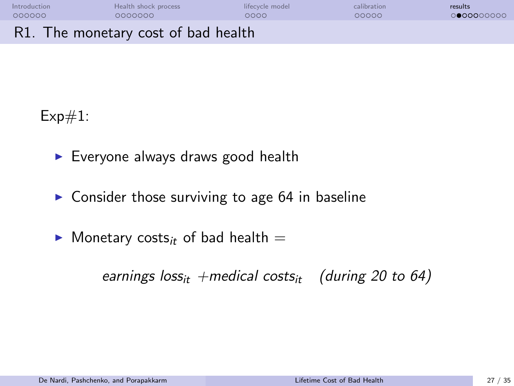| Introduction | Health shock process                | lifecycle model | calibration | results    |
|--------------|-------------------------------------|-----------------|-------------|------------|
| 000000       | COQQQQQ                             | 0000            | 00000       | 0000000000 |
|              | R1. The monetary cost of bad health |                 |             |            |

 $Exp#1$ :

- $\blacktriangleright$  Everyone always draws good health
- $\triangleright$  Consider those surviving to age 64 in baseline
- $\blacktriangleright$  Monetary costs<sub>it</sub> of bad health  $=$

earnings  $loss_{it}$  +medical costs<sub>it</sub> (during 20 to 64)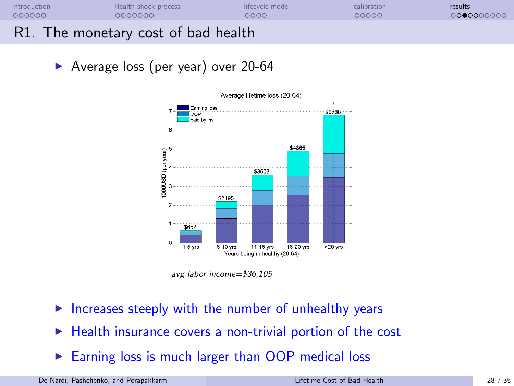| Introduction | Health shock process                | lifecycle model | calibration | results    |
|--------------|-------------------------------------|-----------------|-------------|------------|
| 000000       | 0000000                             | 0000            | 00000       | 0000000000 |
|              | R1. The monetary cost of bad health |                 |             |            |

▶ Average loss (per year) over 20-64



avg labor income=\$36,105

- Increases steeply with the number of unhealthy years
- $\blacktriangleright$  Health insurance covers a non-trivial portion of the cost
- Earning loss is much larger than OOP medical loss

De Nardi, Pashchenko, and Porapakkarm [Lifetime Cost of Bad Health](#page-0-0) 28 / 35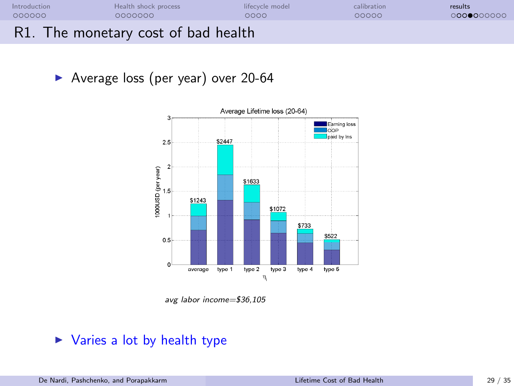| Introduction | Health shock process                | lifecycle model | calibration | results    |
|--------------|-------------------------------------|-----------------|-------------|------------|
| 000000       | 0000000                             | 0000            | 00000       | 0000000000 |
|              | R1. The monetary cost of bad health |                 |             |            |

▶ Average loss (per year) over 20-64



avg labor income=\$36,105

#### $\triangleright$  Varies a lot by health type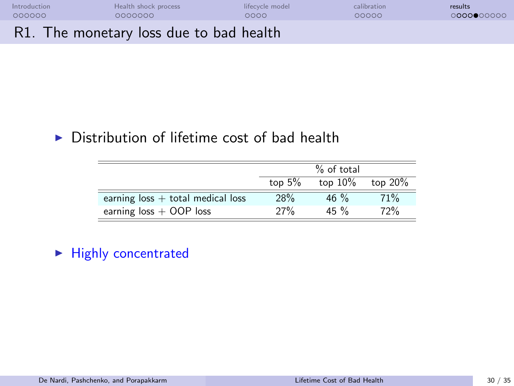| Introduction | Health shock process                    | lifecycle model | calibration | results    |
|--------------|-----------------------------------------|-----------------|-------------|------------|
| 000000       | COQQQQQ                                 | 0000            | 00000       | 0000000000 |
|              | R1. The monetary loss due to bad health |                 |             |            |

## $\triangleright$  Distribution of lifetime cost of bad health

|                                     |          | $%$ of total |            |
|-------------------------------------|----------|--------------|------------|
|                                     | top $5%$ | top $10\%$   | top $20\%$ |
| earning $loss + total$ medical loss | 28%      | 46 $\%$      | 71%        |
| earning $loss + OOP$ loss           | 27%      | $45\%$       | 72%        |

## $\blacktriangleright$  Highly concentrated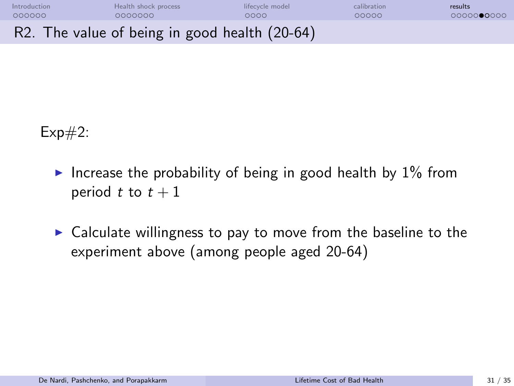| Introduction | Health shock process                          | lifecycle model | calibration | results    |
|--------------|-----------------------------------------------|-----------------|-------------|------------|
| 000000       | COQQQQQ                                       | റററെ            | 00000       | 0000000000 |
|              | R2. The value of being in good health (20-64) |                 |             |            |

 $Exp#2$ :

- Increase the probability of being in good health by  $1\%$  from period t to  $t + 1$
- $\triangleright$  Calculate willingness to pay to move from the baseline to the experiment above (among people aged 20-64)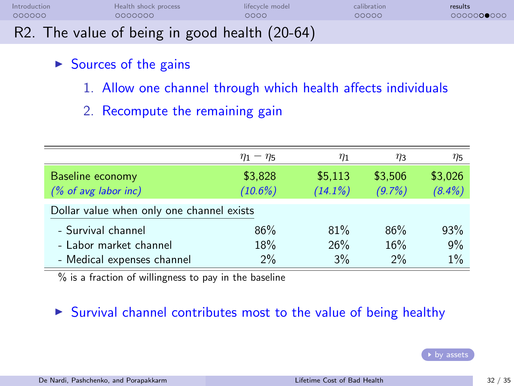| Introduction | Health shock process                          | lifecycle model | calibration | results    |
|--------------|-----------------------------------------------|-----------------|-------------|------------|
| 000000       | 0000000                                       | ററററ            | 00000       | 0000000000 |
|              | R2. The value of being in good health (20-64) |                 |             |            |

## $\triangleright$  Sources of the gains

- 1. Allow one channel through which health affects individuals
- 2. Recompute the remaining gain

|                                           | $\eta_1 - \eta_5$ | $\eta_1$   | $\eta_3$  | $\eta_5$  |
|-------------------------------------------|-------------------|------------|-----------|-----------|
| Baseline economy                          | \$3,828           | \$5,113    | \$3,506   | \$3,026   |
| $% of avg$ labor inc)                     | $(10.6\%)$        | $(14.1\%)$ | $(9.7\%)$ | $(8.4\%)$ |
| Dollar value when only one channel exists |                   |            |           |           |
| - Survival channel                        | 86%               | 81%        | 86%       | 93%       |
| - Labor market channel                    | 18%               | 26%        | 16%       | 9%        |
| - Medical expenses channel                | 2%                | 3%         | 2%        | 1%        |

% is a fraction of willingness to pay in the baseline

#### $\triangleright$  Survival channel contributes most to the value of being healthy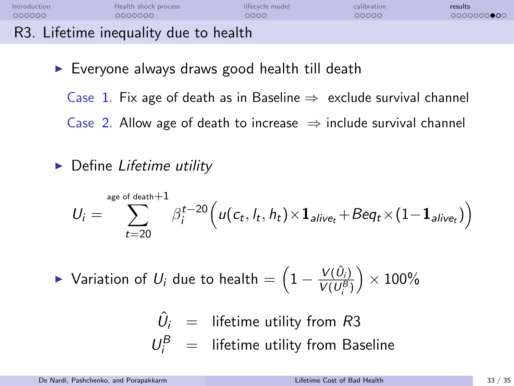| Introduction | Health shock process                  | lifecycle model | calibration | results    |
|--------------|---------------------------------------|-----------------|-------------|------------|
| 000000       | COQQQQQ                               | 0000            | 00000       | 0000000000 |
|              | R3. Lifetime inequality due to health |                 |             |            |

- $\triangleright$  Everyone always draws good health till death
	- Case 1. Fix age of death as in Baseline  $\Rightarrow$  exclude survival channel
	- Case 2. Allow age of death to increase  $\Rightarrow$  include survival channel
- $\triangleright$  Define Lifetime utility

$$
U_i = \sum_{t=20}^{\text{age of death}+1} \beta_i^{t-20} \Big( u(c_t, l_t, h_t) \times \mathbf{1}_{\text{alive}_t} + \text{Beq}_t \times (1-\mathbf{1}_{\text{alive}_t}) \Big)
$$

► Variation of  $U_i$  due to health  $=\left(1-\frac{V(\hat{U}_i)}{V(I)^{B^*}}\right)$  $V(U_i^B)$  $\big)\times100\%$ 

$$
\hat{U}_i = \text{ lifetime utility from } R3
$$
\n
$$
U_i^B = \text{ lifetime utility from Baseline}
$$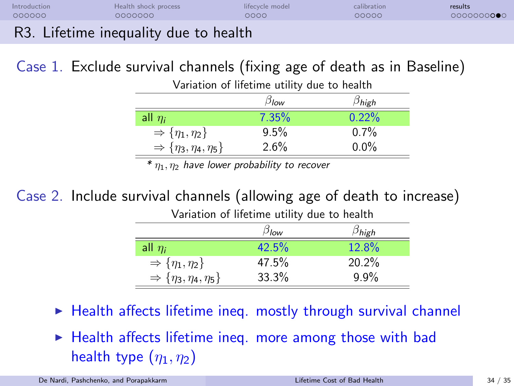| Introduction | Health shock process                              | lifecycle model | calibration | results    |
|--------------|---------------------------------------------------|-----------------|-------------|------------|
| 000000       | ooooooo                                           | ೦೦೦೦            | 00000       | 0000000000 |
|              | D <sub>2</sub> Lifetime inconvelity due to health |                 |             |            |

#### R3. Lifetime inequality due to health

## Case 1. Exclude survival channels (fixing age of death as in Baseline)

Variation of lifetime utility due to health

|                                            | $\beta_{low}$ | $\beta$ high |
|--------------------------------------------|---------------|--------------|
| all $\eta_i$                               | $7.35\%$      | $0.22\%$     |
| $\Rightarrow$ { $\eta_1, \eta_2$ }         | 9.5%          | 0.7%         |
| $\Rightarrow$ { $\eta_3, \eta_4, \eta_5$ } | 2.6%          | $0.0\%$      |
| . .                                        |               |              |

\*  $\eta_1$ ,  $\eta_2$  have lower probability to recover

## Case 2. Include survival channels (allowing age of death to increase)

|                                            | $\beta_{\sf low}$ | $\beta$ high |
|--------------------------------------------|-------------------|--------------|
| all $\eta_i$                               | 42.5%             | 12.8%        |
| $\Rightarrow$ { $\eta_1, \eta_2$ }         | 47.5%             | 20.2%        |
| $\Rightarrow$ { $\eta_3, \eta_4, \eta_5$ } | 33.3%             | 9.9%         |

Variation of lifetime utility due to health

- $\blacktriangleright$  Health affects lifetime ineq. mostly through survival channel
- $\blacktriangleright$  Health affects lifetime ineq. more among those with bad health type  $(\eta_1, \eta_2)$